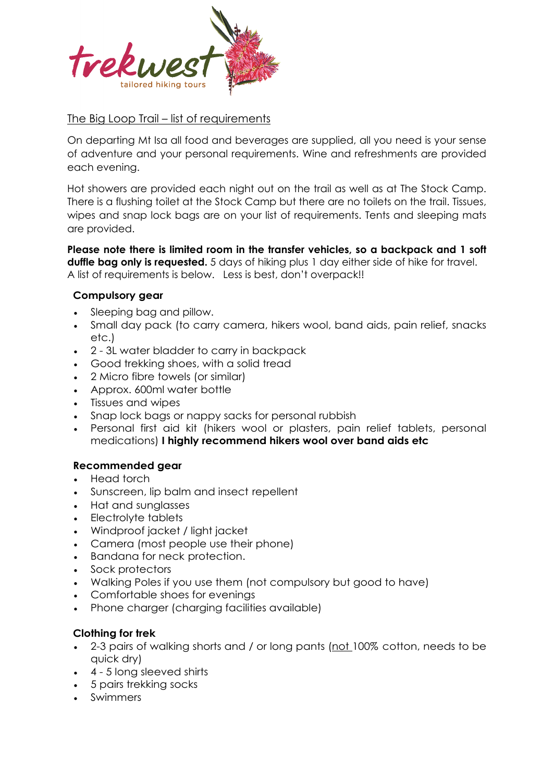

# The Big Loop Trail – list of requirements

On departing Mt Isa all food and beverages are supplied, all you need is your sense of adventure and your personal requirements. Wine and refreshments are provided each evening.

Hot showers are provided each night out on the trail as well as at The Stock Camp. There is a flushing toilet at the Stock Camp but there are no toilets on the trail. Tissues, wipes and snap lock bags are on your list of requirements. Tents and sleeping mats are provided.

**Please note there is limited room in the transfer vehicles, so a backpack and 1 soft duffle bag only is requested.** 5 days of hiking plus 1 day either side of hike for travel. A list of requirements is below. Less is best, don't overpack!!

## **Compulsory gear**

- Sleeping bag and pillow.
- Small day pack (to carry camera, hikers wool, band aids, pain relief, snacks etc.)
- 2 3L water bladder to carry in backpack
- Good trekking shoes, with a solid tread
- 2 Micro fibre towels (or similar)
- Approx. 600ml water bottle
- Tissues and wipes
- Snap lock bags or nappy sacks for personal rubbish
- Personal first aid kit (hikers wool or plasters, pain relief tablets, personal medications) **I highly recommend hikers wool over band aids etc**

## **Recommended gear**

- Head torch
- Sunscreen, lip balm and insect repellent
- Hat and sunglasses
- Electrolyte tablets
- Windproof jacket / light jacket
- Camera (most people use their phone)
- Bandana for neck protection.
- Sock protectors
- Walking Poles if you use them (not compulsory but good to have)
- Comfortable shoes for evenings
- Phone charger (charging facilities available)

## **Clothing for trek**

- 2-3 pairs of walking shorts and / or long pants (not 100% cotton, needs to be quick dry)
- 4 5 long sleeved shirts
- 5 pairs trekking socks
- Swimmers